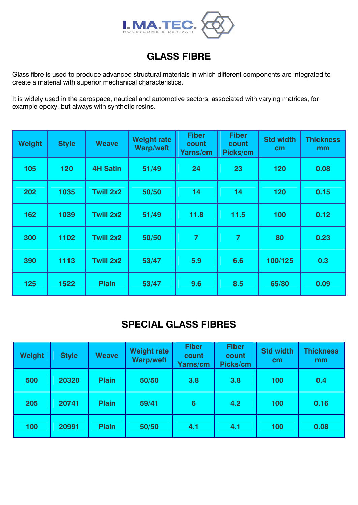

## **GLASS FIBRE**

Glass fibre is used to produce advanced structural materials in which different components are integrated to create a material with superior mechanical characteristics.

It is widely used in the aerospace, nautical and automotive sectors, associated with varying matrices, for example epoxy, but always with synthetic resins.

| <b>Weight</b> | <b>Style</b> | <b>Weave</b>    | <b>Weight rate</b><br><b>Warp/weft</b> | <b>Fiber</b><br>count<br>Yarns/cm | <b>Fiber</b><br>count<br>Picks/cm | <b>Std width</b><br>cm | <b>Thickness</b><br>mm |
|---------------|--------------|-----------------|----------------------------------------|-----------------------------------|-----------------------------------|------------------------|------------------------|
| 105           | 120          | <b>4H Satin</b> | 51/49                                  | 24                                | 23                                | 120                    | 0.08                   |
| 202           | 1035         | Twill 2x2       | 50/50                                  | 14                                | 14                                | 120                    | 0.15                   |
| 162           | 1039         | Twill 2x2       | 51/49                                  | 11.8                              | 11.5                              | 100                    | 0.12                   |
| 300           | 1102         | Twill 2x2       | 50/50                                  | $\overline{7}$                    | $\overline{7}$                    | 80                     | 0.23                   |
| 390           | 1113         | Twill 2x2       | 53/47                                  | 5.9                               | 6.6                               | 100/125                | 0.3                    |
| 125           | 1522         | <b>Plain</b>    | 53/47                                  | 9.6                               | 8.5                               | 65/80                  | 0.09                   |

#### **SPECIAL GLASS FIBRES**

| <b>Weight</b> | <b>Style</b> | <b>Weave</b> | <b>Weight rate</b><br><b>Warp/weft</b> | <b>Fiber</b><br>count<br>Yarns/cm | <b>Fiber</b><br>count<br>Picks/cm | <b>Std width</b><br>cm | <b>Thickness</b><br>mm |
|---------------|--------------|--------------|----------------------------------------|-----------------------------------|-----------------------------------|------------------------|------------------------|
| 500           | 20320        | <b>Plain</b> | 50/50                                  | 3.8                               | 3.8                               | 100                    | 0.4                    |
| 205           | 20741        | <b>Plain</b> | 59/41                                  | $6\phantom{1}6$                   | 4.2                               | 100                    | 0.16                   |
| 100           | 20991        | <b>Plain</b> | 50/50                                  | 4.1                               | 4.1                               | 100                    | 0.08                   |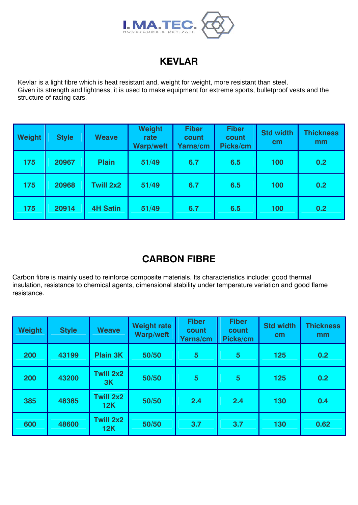

# **KEVLAR**

Kevlar is a light fibre which is heat resistant and, weight for weight, more resistant than steel. Given its strength and lightness, it is used to make equipment for extreme sports, bulletproof vests and the structure of racing cars.

| <b>Weight</b> | <b>Style</b> | <b>Weave</b>     | <b>Weight</b><br>rate<br><b>Warp/weft</b> | <b>Fiber</b><br>count<br><b>Yarns/cm</b> | <b>Fiber</b><br>count<br>Picks/cm | <b>Std width</b><br>cm <sub>2</sub> | <b>Thickness</b><br>mm |
|---------------|--------------|------------------|-------------------------------------------|------------------------------------------|-----------------------------------|-------------------------------------|------------------------|
| 175           | 20967        | <b>Plain</b>     | 51/49                                     | 6.7                                      | 6.5                               | 100                                 | 0.2                    |
| 175           | 20968        | <b>Twill 2x2</b> | 51/49                                     | 6.7                                      | 6.5                               | 100                                 | 0.2                    |
| 175           | 20914        | <b>4H Satin</b>  | 51/49                                     | 6.7                                      | 6.5                               | 100                                 | 0.2                    |

## **CARBON FIBRE**

Carbon fibre is mainly used to reinforce composite materials. Its characteristics include: good thermal insulation, resistance to chemical agents, dimensional stability under temperature variation and good flame resistance.

| <b>Weight</b> | <b>Style</b> | <b>Weave</b>            | <b>Weight rate</b><br>Warp/weft | <b>Fiber</b><br>count<br>Yarns/cm | <b>Fiber</b><br>count<br>Picks/cm | <b>Std width</b><br>cm | <b>Thickness</b><br>mm |
|---------------|--------------|-------------------------|---------------------------------|-----------------------------------|-----------------------------------|------------------------|------------------------|
| 200           | 43199        | <b>Plain 3K</b>         | 50/50                           | 5                                 | $5\phantom{1}$                    | 125                    | 0.2                    |
| 200           | 43200        | <b>Twill 2x2</b><br>3K  | 50/50                           | 5                                 | $5\overline{5}$                   | 125                    | 0.2                    |
| 385           | 48385        | <b>Twill 2x2</b><br>12K | 50/50                           | 2.4                               | 2.4                               | 130                    | 0.4                    |
| 600           | 48600        | <b>Twill 2x2</b><br>12K | 50/50                           | 3.7                               | 3.7                               | 130                    | 0.62                   |